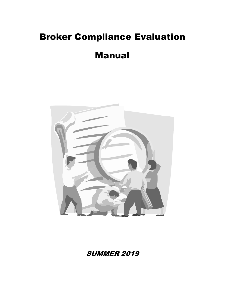# Broker Compliance Evaluation

# Manual



**SUMMER 2019**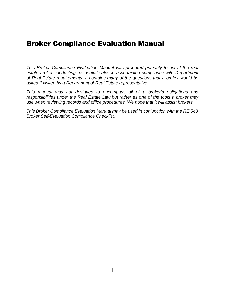# Broker Compliance Evaluation Manual

*This Broker Compliance Evaluation Manual was prepared primarily to assist the real*  estate broker conducting residential sales in ascertaining compliance with Department *of Real Estate requirements. It contains many of the questions that a broker would be asked if visited by a Department of Real Estate representative.*

*This manual was not designed to encompass all of a broker's obligations and responsibilities under the Real Estate Law but rather as one of the tools a broker may use when reviewing records and office procedures. We hope that it will assist brokers.*

*This Broker Compliance Evaluation Manual may be used in conjunction with the RE 540 Broker Self-Evaluation Compliance Checklist.*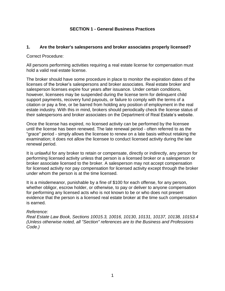#### **SECTION 1 - General Business Practices**

#### **1. Are the broker's salespersons and broker associates properly licensed?**

Correct Procedure:

All persons performing activities requiring a real estate license for compensation must hold a valid real estate license.

The broker should have some procedure in place to monitor the expiration dates of the licenses of the broker's salespersons and broker associates. Real estate broker and salesperson licenses expire four years after issuance. Under certain conditions, however, licensees may be suspended during the license term for delinquent child support payments, recovery fund payouts, or failure to comply with the terms of a citation or pay a fine, or be barred from holding any position of employment in the real estate industry. With this in mind, brokers should periodically check the license status of their salespersons and broker associates on the Department of Real Estate's website.

Once the license has expired, no licensed activity can be performed by the licensee until the license has been renewed. The late renewal period - often referred to as the "grace" period - simply allows the licensee to renew on a late basis without retaking the examination; it does not allow the licensee to conduct licensed activity during the late renewal period.

It is unlawful for any broker to retain or compensate, directly or indirectly, any person for performing licensed activity unless that person is a licensed broker or a salesperson or broker associate licensed to the broker. A salesperson may not accept compensation for licensed activity nor pay compensation for licensed activity except through the broker under whom the person is at the time licensed.

It is a misdemeanor, punishable by a fine of \$100 for each offense, for any person, whether obligor, escrow holder, or otherwise, to pay or deliver to anyone compensation for performing any licensed acts who is not known to be or who does not present evidence that the person is a licensed real estate broker at the time such compensation is earned.

#### *Reference:*

*Real Estate Law Book, Sections 10015.3, 10016, 10130, 10131, 10137, 10138, 10153.4 (Unless otherwise noted, all "Section" references are to the Business and Professions Code.)*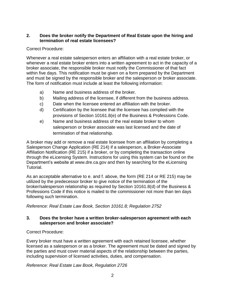#### **2. Does the broker notify the Department of Real Estate upon the hiring and termination of real estate licensees?**

#### Correct Procedure:

Whenever a real estate salesperson enters an affiliation with a real estate broker, or whenever a real estate broker enters into a written agreement to act in the capacity of a broker associate, the responsible broker must notify the Commissioner of that fact within five days. This notification must be given on a form prepared by the Department and must be signed by the responsible broker and the salesperson or broker associate. The form of notification must include at least the following information:

- a) Name and business address of the broker.
- b) Mailing address of the licensee, if different from the business address.
- c) Date when the licensee entered an affiliation with the broker.
- d) Certification by the licensee that the licensee has complied with the provisions of Section 10161.8(e) of the Business & Professions Code.
- e) Name and business address of the real estate broker to whom salesperson or broker associate was last licensed and the date of termination of that relationship.

A broker may add or remove a real estate licensee from an affiliation by completing a Salesperson Change Application (RE 214) if a salesperson, a Broker-Associate Affiliation Notification (RE 215) if a broker, or by completing the transaction online through the eLicensing System. Instructions for using this system can be found on the Department's website at [www.dre.ca.gov](http://www.dre.ca.gov/) and then by searching for the eLicensing Tutorial.

As an acceptable alternative to e. and f. above, the form (RE 214 or RE 215) may be utilized by the predecessor broker to give notice of the termination of the broker/salesperson relationship as required by Section 10161.8(d) of the Business & Professions Code if this notice is mailed to the commissioner not more than ten days following such termination.

*Reference: Real Estate Law Book, Section 10161.8; Regulation 2752*

#### **3. Does the broker have a written broker-salesperson agreement with each salesperson and broker associate?**

Correct Procedure:

Every broker must have a written agreement with each retained licensee, whether licensed as a salesperson or as a broker. The agreement must be dated and signed by the parties and must cover material aspects of the relationship between the parties, including supervision of licensed activities, duties, and compensation.

### *Reference: Real Estate Law Book, Regulation 2726*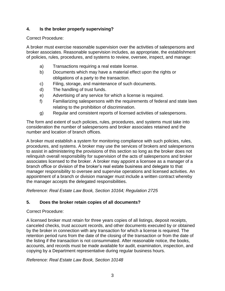# **4. Is the broker properly supervising?**

# Correct Procedure:

A broker must exercise reasonable supervision over the activities of salespersons and broker associates. Reasonable supervision includes, as appropriate, the establishment of policies, rules, procedures, and systems to review, oversee, inspect, and manage:

- a) Transactions requiring a real estate license.
- b) Documents which may have a material effect upon the rights or obligations of a party to the transaction.
- c) Filing, storage, and maintenance of such documents.
- d) The handling of trust funds.
- e) Advertising of any service for which a license is required.
- f) Familiarizing salespersons with the requirements of federal and state laws relating to the prohibition of discrimination.
- g) Regular and consistent reports of licensed activities of salespersons.

The form and extent of such policies, rules, procedures, and systems must take into consideration the number of salespersons and broker associates retained and the number and location of branch offices.

A broker must establish a system for monitoring compliance with such policies, rules, procedures, and systems. A broker may use the services of brokers and salespersons to assist in administering the provisions of this section so long as the broker does not relinquish overall responsibility for supervision of the acts of salespersons and broker associates licensed to the broker. A broker may appoint a licensee as a manager of a branch office or division of the broker's real estate business and delegate to that manager responsibility to oversee and supervise operations and licensed activities. An appointment of a branch or division manager must include a written contract whereby the manager accepts the delegated responsibilities.

*Reference: Real Estate Law Book, Section 10164; Regulation 2725*

# **5. Does the broker retain copies of all documents?**

# Correct Procedure:

A licensed broker must retain for three years copies of all listings, deposit receipts, canceled checks, trust account records, and other documents executed by or obtained by the broker in connection with any transaction for which a license is required. The retention period runs from the date of the closing of the transaction or from the date of the listing if the transaction is not consummated. After reasonable notice, the books, accounts, and records must be made available for audit, examination, inspection, and copying by a Department representative during regular business hours.

*Reference: Real Estate Law Book, Section 10148*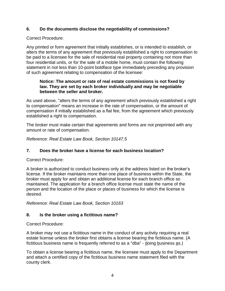# **6. Do the documents disclose the negotiability of commissions?**

# Correct Procedure:

Any printed or form agreement that initially establishes, or is intended to establish, or alters the terms of any agreement that previously established a right to compensation to be paid to a licensee for the sale of residential real property containing not more than four residential units, or for the sale of a mobile home, must contain the following statement in not less than 10-point boldface type immediately preceding any provision of such agreement relating to compensation of the licensee:

#### **Notice: The amount or rate of real estate commissions is not fixed by law. They are set by each broker individually and may be negotiable between the seller and broker.**

As used above, "alters the terms of any agreement which previously established a right to compensation" means an increase in the rate of compensation, or the amount of compensation if initially established as a flat fee, from the agreement which previously established a right to compensation.

The broker must make certain that agreements and forms are not preprinted with any amount or rate of compensation.

*Reference: Real Estate Law Book, Section 10147.5*

# **7. Does the broker have a license for each business location?**

Correct Procedure:

A broker is authorized to conduct business only at the address listed on the broker's license. If the broker maintains more than one place of business within the State, the broker must apply for and obtain an additional license for each branch office so maintained. The application for a branch office license must state the name of the person and the location of the place or places of business for which the license is desired.

*Reference: Real Estate Law Book, Section 10163*

# **8. Is the broker using a fictitious name?**

Correct Procedure:

A broker may not use a fictitious name in the conduct of any activity requiring a real estate license unless the broker first obtains a license bearing the fictitious name. (A fictitious business name is frequently referred to as a "dba" - doing business as.)

To obtain a license bearing a fictitious name, the licensee must apply to the Department and attach a certified copy of the fictitious business name statement filed with the county clerk.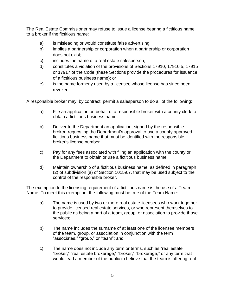The Real Estate Commissioner may refuse to issue a license bearing a fictitious name to a broker if the fictitious name:

- a) is misleading or would constitute false advertising;
- b) implies a partnership or corporation when a partnership or corporation does not exist;
- c) includes the name of a real estate salesperson;
- d) constitutes a violation of the provisions of Sections 17910, 17910.5, 17915 or 17917 of the Code (these Sections provide the procedures for issuance of a fictitious business name); or
- e) is the name formerly used by a licensee whose license has since been revoked.

A responsible broker may, by contract, permit a salesperson to do all of the following:

- a) File an application on behalf of a responsible broker with a county clerk to obtain a fictitious business name.
- b) Deliver to the Department an application, signed by the responsible broker, requesting the Department's approval to use a county approved fictitious business name that must be identified with the responsible broker's license number.
- c) Pay for any fees associated with filing an application with the county or the Department to obtain or use a fictitious business name.
- d) Maintain ownership of a fictitious business name, as defined in paragraph (2) of subdivision (a) of Section 10159.7, that may be used subject to the control of the responsible broker.

The exemption to the licensing requirement of a fictitious name is the use of a Team Name. To meet this exemption, the following must be true of the Team Name:

- a) The name is used by two or more real estate licensees who work together to provide licensed real estate services, or who represent themselves to the public as being a part of a team, group, or association to provide those services;
- b) The name includes the surname of at least one of the licensee members of the team, group, or association in conjunction with the term "associates," "group," or "team"; and
- c) The name does not include any term or terms, such as "real estate "broker," "real estate brokerage," "broker," "brokerage," or any term that would lead a member of the public to believe that the team is offering real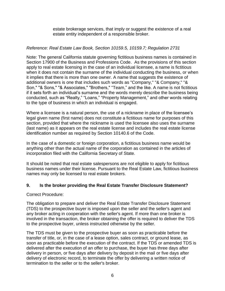estate brokerage services, that imply or suggest the existence of a real estate entity independent of a responsible broker.

#### *Reference: Real Estate Law Book, Section 10159.5, 10159.7; Regulation 2731*

Note: The general California statute governing fictitious business names is contained in Section 17900 of the Business and Professions Code. As the provisions of this section apply to real estate licensing in the case of an individual licensee, a name is fictitious when it does not contain the surname of the individual conducting the business, or when it implies that there is more than one owner. A name that suggests the existence of additional owners is one that includes such words as "Company," "& Company," "& Son," "& Sons," "& Associates," "Brothers," "Team," and the like. A name is not fictitious if it sets forth an individual's surname and the words merely describe the business being conducted, such as "Realty," "Loans," "Property Management," and other words relating to the type of business in which an individual is engaged.

Where a licensee is a natural person, the use of a nickname in place of the licensee's legal given name (first name) does not constitute a fictitious name for purposes of this section, provided that where the nickname is used the licensee also uses the surname (last name) as it appears on the real estate license and includes the real estate license identification number as required by Section 10140.6 of the Code.

In the case of a domestic or foreign corporation, a fictitious business name would be anything other than the actual name of the corporation as contained in the articles of incorporation filed with the California Secretary of State.

It should be noted that real estate salespersons are not eligible to apply for fictitious business names under their license. Pursuant to the Real Estate Law, fictitious business names may only be licensed to real estate brokers.

#### **9. Is the broker providing the Real Estate Transfer Disclosure Statement?**

#### Correct Procedure:

The obligation to prepare and deliver the Real Estate Transfer Disclosure Statement (TDS) to the prospective buyer is imposed upon the seller and the seller's agent and any broker acting in cooperation with the seller's agent. If more than one broker is involved in the transaction, the broker obtaining the offer is required to deliver the TDS to the prospective buyer, unless instructed otherwise by the seller.

The TDS must be given to the prospective buyer as soon as practicable before the transfer of title, or, in the case of a lease option, sales contract, or ground lease, as soon as practicable before the execution of the contract. If the TDS or amended TDS is delivered after the execution of an offer to purchase, the buyer has three days after delivery in person, or five days after delivery by deposit in the mail or five days after delivery of electronic record, to terminate the offer by delivering a written notice of termination to the seller or to the seller's broker.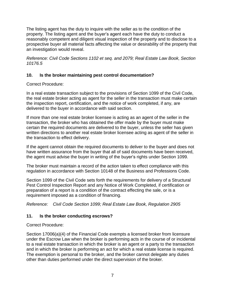The listing agent has the duty to inquire with the seller as to the condition of the property. The listing agent and the buyer's agent each have the duty to conduct a reasonably competent and diligent visual inspection of the property and to disclose to a prospective buyer all material facts affecting the value or desirability of the property that an investigation would reveal.

*Reference: Civil Code Sections 1102 et seq. and 2079; Real Estate Law Book, Section 10176.5*

# **10. Is the broker maintaining pest control documentation?**

Correct Procedure:

In a real estate transaction subject to the provisions of Section 1099 of the Civil Code, the real estate broker acting as agent for the seller in the transaction must make certain the inspection report, certification, and the notice of work completed, if any, are delivered to the buyer in accordance with said section.

If more than one real estate broker licensee is acting as an agent of the seller in the transaction, the broker who has obtained the offer made by the buyer must make certain the required documents are delivered to the buyer, unless the seller has given written directions to another real estate broker licensee acting as agent of the seller in the transaction to effect delivery.

If the agent cannot obtain the required documents to deliver to the buyer and does not have written assurance from the buyer that all of said documents have been received, the agent must advise the buyer in writing of the buyer's rights under Section 1099.

The broker must maintain a record of the action taken to effect compliance with this regulation in accordance with Section 10148 of the Business and Professions Code.

Section 1099 of the Civil Code sets forth the requirements for delivery of a Structural Pest Control Inspection Report and any Notice of Work Completed, if certification or preparation of a report is a condition of the contract effecting the sale, or is a requirement imposed as a condition of financing.

*Reference: Civil Code Section 1099; Real Estate Law Book, Regulation 2905*

# **11. Is the broker conducting escrows?**

Correct Procedure:

Section 17006(a)(4) of the Financial Code exempts a licensed broker from licensure under the Escrow Law when the broker is performing acts in the course of or incidental to a real estate transaction in which the broker is an agent or a party to the transaction and in which the broker is performing an act for which a real estate license is required. The exemption is personal to the broker, and the broker cannot delegate any duties other than duties performed under the direct supervision of the broker.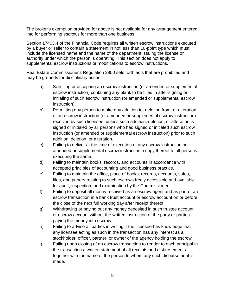The broker's exemption provided for above is not available for any arrangement entered into for performing escrows for more than one business.

Section 17403.4 of the Financial Code requires all written escrow instructions executed by a buyer or seller to contain a statement in not less than 10-point type which must include the licensed name and the name of the department issuing the license or authority under which the person is operating. This section does not apply to supplemental escrow instructions or modifications to escrow instructions.

Real Estate Commissioner's Regulation 2950 sets forth acts that are prohibited and may be grounds for disciplinary action:

- a) Soliciting or accepting an escrow instruction (or amended or supplemental escrow instruction) containing any blank to be filled in after signing or initialing of such escrow instruction (or amended or supplemental escrow instruction).
- b) Permitting any person to make any addition to, deletion from, or alteration of an escrow instruction (or amended or supplemental escrow instruction) received by such licensee, unless such addition, deletion, or alteration is signed or initialed by all persons who had signed or initialed such escrow instruction (or amended or supplemental escrow instruction) prior to such addition, deletion, or alteration.
- c) Failing to deliver at the time of execution of any escrow instruction or amended or supplemental escrow instruction a copy thereof to all persons executing the same.
- d) Failing to maintain books, records, and accounts in accordance with accepted principles of accounting and good business practice.
- e) Failing to maintain the office, place of books, records, accounts, safes, files, and papers relating to such escrows freely accessible and available for audit, inspection, and examination by the Commissioner.
- f) Failing to deposit all money received as an escrow agent and as part of an escrow transaction in a bank trust account or escrow account on or before the close of the next full working day after receipt thereof.
- g) Withdrawing or paying out any money deposited in such trustee account or escrow account without the written instruction of the party or parties paying the money into escrow.
- h) Failing to advise all parties in writing if the licensee has knowledge that any licensee acting as such in the transaction has any interest as a stockholder, officer, partner, or owner of the agency holding the escrow.
- i) Failing upon closing of an escrow transaction to render to each principal in the transaction a written statement of all receipts and disbursements together with the name of the person to whom any such disbursement is made.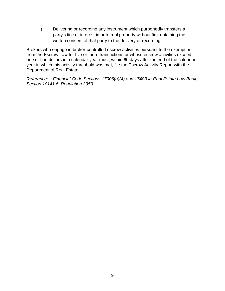j) Delivering or recording any instrument which purportedly transfers a party's title or interest in or to real property without first obtaining the written consent of that party to the delivery or recording.

Brokers who engage in broker-controlled escrow activities pursuant to the exemption from the Escrow Law for five or more transactions or whose escrow activities exceed one million dollars in a calendar year must, within 60 days after the end of the calendar year in which this activity threshold was met, file the Escrow Activity Report with the Department of Real Estate.

*Reference: Financial Code Sections 17006(a)(4) and 17403.4; Real Estate Law Book, Section 10141.6; Regulation 2950*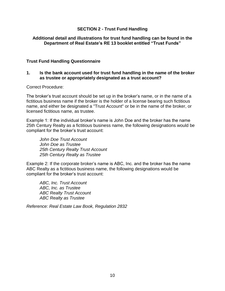#### **SECTION 2 - Trust Fund Handling**

#### **Additional detail and illustrations for trust fund handling can be found in the Department of Real Estate's RE 13 booklet entitled "Trust Funds"**

#### **Trust Fund Handling Questionnaire**

#### **1. Is the bank account used for trust fund handling in the name of the broker as trustee or appropriately designated as a trust account?**

#### Correct Procedure:

The broker's trust account should be set up in the broker's name, or in the name of a fictitious business name if the broker is the holder of a license bearing such fictitious name, and either be designated a "Trust Account" or be in the name of the broker, or licensed fictitious name, as trustee.

Example 1: If the individual broker's name is John Doe and the broker has the name 25th Century Realty as a fictitious business name, the following designations would be compliant for the broker's trust account:

*John Doe Trust Account John Doe as Trustee 25th Century Realty Trust Account 25th Century Realty as Trustee*

Example 2: If the corporate broker's name is ABC, Inc. and the broker has the name ABC Realty as a fictitious business name, the following designations would be compliant for the broker's trust account:

*ABC, Inc. Trust Account ABC, Inc. as Trustee ABC Realty Trust Account ABC Realty as Trustee*

*Reference: Real Estate Law Book, Regulation 2832*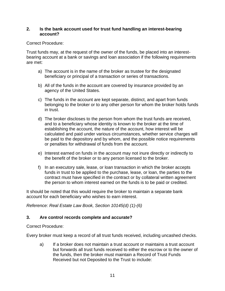#### **2. Is the bank account used for trust fund handling an interest-bearing account?**

### Correct Procedure:

Trust funds may, at the request of the owner of the funds, be placed into an interestbearing account at a bank or savings and loan association if the following requirements are met:

- a) The account is in the name of the broker as trustee for the designated beneficiary or principal of a transaction or series of transactions.
- b) All of the funds in the account are covered by insurance provided by an agency of the United States.
- c) The funds in the account are kept separate, distinct, and apart from funds belonging to the broker or to any other person for whom the broker holds funds in trust.
- d) The broker discloses to the person from whom the trust funds are received, and to a beneficiary whose identity is known to the broker at the time of establishing the account, the nature of the account, how interest will be calculated and paid under various circumstances, whether service charges will be paid to the depository and by whom, and the possible notice requirements or penalties for withdrawal of funds from the account.
- e) Interest earned on funds in the account may not inure directly or indirectly to the benefit of the broker or to any person licensed to the broker.
- f) In an executory sale, lease, or loan transaction in which the broker accepts funds in trust to be applied to the purchase, lease, or loan, the parties to the contract must have specified in the contract or by collateral written agreement the person to whom interest earned on the funds is to be paid or credited.

It should be noted that this would require the broker to maintain a separate bank account for each beneficiary who wishes to earn interest.

*Reference: Real Estate Law Book, Section 10145(d) (1)-(6)*

### **3. Are control records complete and accurate?**

Correct Procedure:

Every broker must keep a record of all trust funds received, including uncashed checks.

a) If a broker does not maintain a trust account or maintains a trust account but forwards all trust funds received to either the escrow or to the owner of the funds, then the broker must maintain a Record of Trust Funds Received but not Deposited to the Trust to include: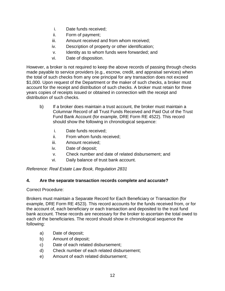- i. Date funds received;
- ii. Form of payment;
- iii. Amount received and from whom received;
- iv. Description of property or other identification;
- v. Identity as to whom funds were forwarded; and
- vi. Date of disposition.

However, a broker is not required to keep the above records of passing through checks made payable to service providers (e.g., escrow, credit, and appraisal services) when the total of such checks from any one principal for any transaction does not exceed \$1,000. Upon request of the Department or the maker of such checks, a broker must account for the receipt and distribution of such checks. A broker must retain for three years copies of receipts issued or obtained in connection with the receipt and distribution of such checks.

- b) If a broker does maintain a trust account, the broker must maintain a Columnar Record of all Trust Funds Received and Paid Out of the Trust Fund Bank Account (for example, DRE Form RE 4522). This record should show the following in chronological sequence:
	- i. Date funds received;
	- ii. From whom funds received;
	- iii. Amount received;
	- iv. Date of deposit;
	- v. Check number and date of related disbursement; and
	- vi. Daily balance of trust bank account.

*Reference: Real Estate Law Book, Regulation 2831*

### **4. Are the separate transaction records complete and accurate?**

Correct Procedure:

Brokers must maintain a Separate Record for Each Beneficiary or Transaction (for example, DRE Form RE 4523). This record accounts for the funds received from, or for the account of, each beneficiary or each transaction and deposited to the trust fund bank account. These records are necessary for the broker to ascertain the total owed to each of the beneficiaries. The record should show in chronological sequence the following:

- a) Date of deposit;
- b) Amount of deposit;
- c) Date of each related disbursement;
- d) Check number of each related disbursement;
- e) Amount of each related disbursement;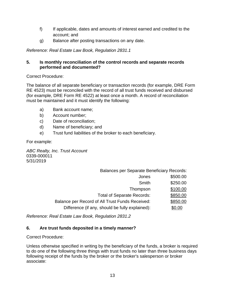- f) If applicable, dates and amounts of interest earned and credited to the account; and
- g) Balance after posting transactions on any date.

*Reference: Real Estate Law Book, Regulation 2831.1*

# **5. Is monthly reconciliation of the control records and separate records performed and documented?**

Correct Procedure:

The balance of all separate beneficiary or transaction records (for example, DRE Form RE 4523) must be reconciled with the record of all trust funds received and disbursed (for example, DRE Form RE 4522) at least once a month. A record of reconciliation must be maintained and it must identify the following:

- a) Bank account name;
- b) Account number;
- c) Date of reconciliation;
- d) Name of beneficiary; and
- e) Trust fund liabilities of the broker to each beneficiary.

For example:

*ABC Realty, Inc. Trust Account* 0339-000011 5/31/2019

| <b>Balances per Separate Beneficiary Records:</b> |          |
|---------------------------------------------------|----------|
| Jones                                             | \$500.00 |
| Smith                                             | \$250.00 |
| Thompson                                          | \$100.00 |
| <b>Total of Separate Records:</b>                 | \$850.00 |
| Balance per Record of All Trust Funds Received:   | \$850.00 |
| Difference (if any, should be fully explained):   | \$0.00   |

*Reference: Real Estate Law Book, Regulation 2831.2*

# **6. Are trust funds deposited in a timely manner?**

Correct Procedure:

Unless otherwise specified in writing by the beneficiary of the funds, a broker is required to do one of the following three things with trust funds no later than three business days following receipt of the funds by the broker or the broker's salesperson or broker associate: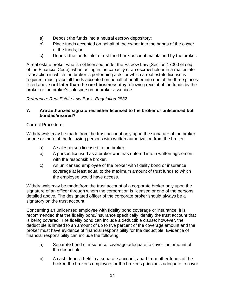- a) Deposit the funds into a neutral escrow depository;
- b) Place funds accepted on behalf of the owner into the hands of the owner of the funds; or
- c) Deposit the funds into a trust fund bank account maintained by the broker.

A real estate broker who is not licensed under the Escrow Law (Section 17000 et seq. of the Financial Code), when acting in the capacity of an escrow holder in a real estate transaction in which the broker is performing acts for which a real estate license is required, must place all funds accepted on behalf of another into one of the three places listed above **not later than the next business day** following receipt of the funds by the broker or the broker's salesperson or broker associate.

### *Reference: Real Estate Law Book, Regulation 2832*

#### **7. Are authorized signatories either licensed to the broker or unlicensed but bonded/insured?**

#### Correct Procedure:

Withdrawals may be made from the trust account only upon the signature of the broker or one or more of the following persons with written authorization from the broker:

- a) A salesperson licensed to the broker.
- b) A person licensed as a broker who has entered into a written agreement with the responsible broker.
- c) An unlicensed employee of the broker with fidelity bond or insurance coverage at least equal to the maximum amount of trust funds to which the employee would have access.

Withdrawals may be made from the trust account of a corporate broker only upon the signature of an officer through whom the corporation is licensed or one of the persons detailed above. The designated officer of the corporate broker should always be a signatory on the trust account.

Concerning an unlicensed employee with fidelity bond coverage or insurance, it is recommended that the fidelity bond/insurance specifically identify the trust account that is being covered. The fidelity bond can include a deductible clause; however, the deductible is limited to an amount of up to five percent of the coverage amount and the broker must have evidence of financial responsibility for the deductible. Evidence of financial responsibility can include the following:

- a) Separate bond or insurance coverage adequate to cover the amount of the deductible.
- b) A cash deposit held in a separate account, apart from other funds of the broker, the broker's employee, or the broker's principals adequate to cover